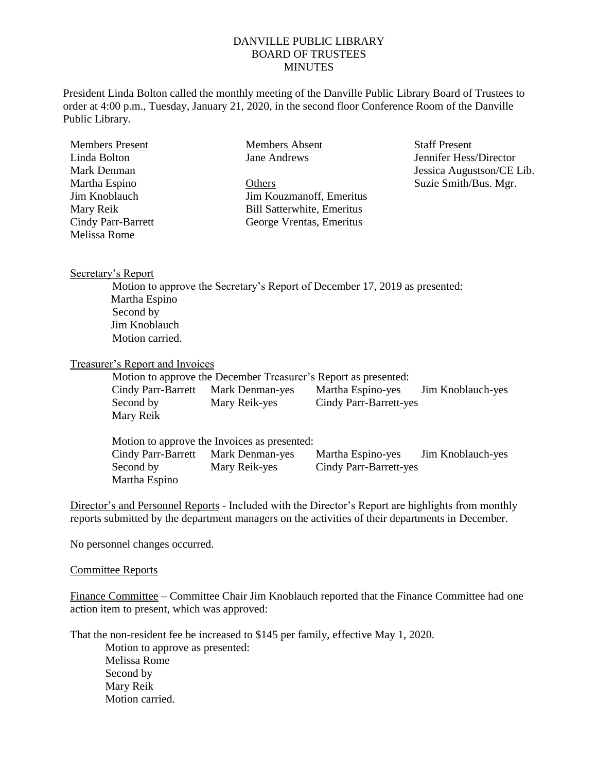## DANVILLE PUBLIC LIBRARY BOARD OF TRUSTEES **MINUTES**

President Linda Bolton called the monthly meeting of the Danville Public Library Board of Trustees to order at 4:00 p.m., Tuesday, January 21, 2020, in the second floor Conference Room of the Danville Public Library.

| Members Present           | <b>Members Absent</b>             | <b>Staff Present</b>      |
|---------------------------|-----------------------------------|---------------------------|
| Linda Bolton              | Jane Andrews                      | Jennifer Hess/Director    |
| Mark Denman               |                                   | Jessica Augustson/CE Lib. |
| Martha Espino             | Others                            | Suzie Smith/Bus. Mgr.     |
| Jim Knoblauch             | Jim Kouzmanoff, Emeritus          |                           |
| Mary Reik                 | <b>Bill Satterwhite, Emeritus</b> |                           |
| <b>Cindy Parr-Barrett</b> | George Vrentas, Emeritus          |                           |
| Melissa Rome              |                                   |                           |
|                           |                                   |                           |

Secretary's Report

Motion to approve the Secretary's Report of December 17, 2019 as presented: Martha Espino Second by Jim Knoblauch Motion carried.

# Treasurer's Report and Invoices

Motion to approve the December Treasurer's Report as presented: Cindy Parr-Barrett Mark Denman-yes Martha Espino-yes Jim Knoblauch-yes Second by Mary Reik-yes Cindy Parr-Barrett-yes Mary Reik

Motion to approve the Invoices as presented: Cindy Parr-Barrett Mark Denman-yes Martha Espino-yes Jim Knoblauch-yes Second by Mary Reik-yes Cindy Parr-Barrett-yes Martha Espino

Director's and Personnel Reports - Included with the Director's Report are highlights from monthly reports submitted by the department managers on the activities of their departments in December.

No personnel changes occurred.

#### Committee Reports

Finance Committee – Committee Chair Jim Knoblauch reported that the Finance Committee had one action item to present, which was approved:

That the non-resident fee be increased to \$145 per family, effective May 1, 2020.

Motion to approve as presented: Melissa Rome Second by Mary Reik Motion carried.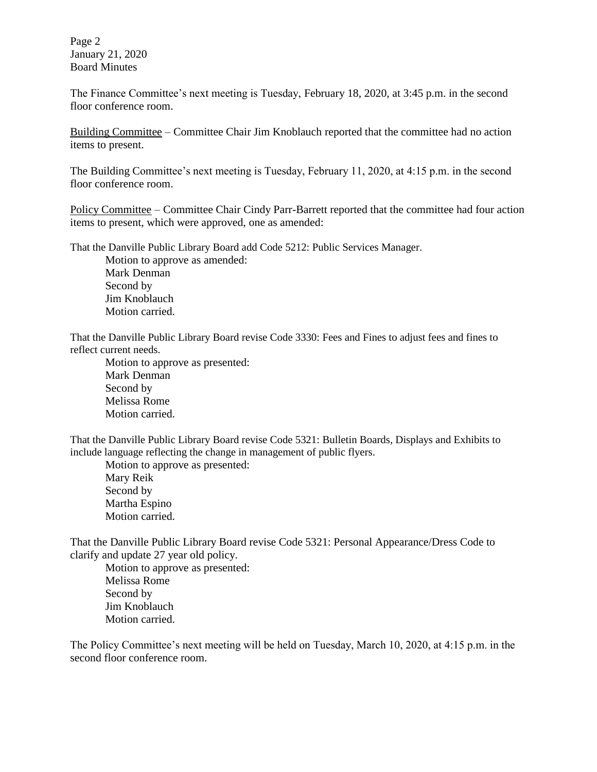Page 2 January 21, 2020 Board Minutes

The Finance Committee's next meeting is Tuesday, February 18, 2020, at 3:45 p.m. in the second floor conference room.

Building Committee – Committee Chair Jim Knoblauch reported that the committee had no action items to present.

The Building Committee's next meeting is Tuesday, February 11, 2020, at 4:15 p.m. in the second floor conference room.

Policy Committee – Committee Chair Cindy Parr-Barrett reported that the committee had four action items to present, which were approved, one as amended:

That the Danville Public Library Board add Code 5212: Public Services Manager.

Motion to approve as amended: Mark Denman Second by Jim Knoblauch Motion carried.

That the Danville Public Library Board revise Code 3330: Fees and Fines to adjust fees and fines to reflect current needs.

Motion to approve as presented: Mark Denman Second by Melissa Rome Motion carried.

That the Danville Public Library Board revise Code 5321: Bulletin Boards, Displays and Exhibits to include language reflecting the change in management of public flyers.

Motion to approve as presented: Mary Reik Second by Martha Espino Motion carried.

That the Danville Public Library Board revise Code 5321: Personal Appearance/Dress Code to clarify and update 27 year old policy.

Motion to approve as presented: Melissa Rome Second by Jim Knoblauch Motion carried.

The Policy Committee's next meeting will be held on Tuesday, March 10, 2020, at 4:15 p.m. in the second floor conference room.